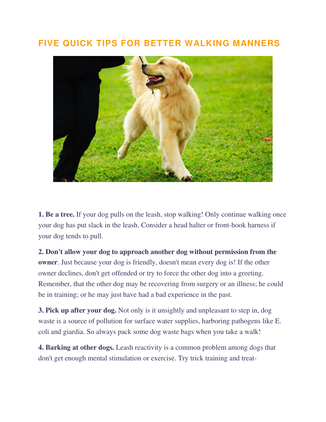## **FIVE QUICK TIPS FOR BETTER WALKING MANNERS**



**1. Be a tree.** If your dog pulls on the leash, stop walking! Only continue walking once your dog has put slack in the leash. Consider a head halter or front-hook harness if your dog tends to pull.

**2. Don't allow your dog to approach another dog without permission from the owner**. Just because your dog is friendly, doesn't mean every dog is! If the other owner declines, don't get offended or try to force the other dog into a greeting. Remember, that the other dog may be recovering from surgery or an illness; he could be in training; or he may just have had a bad experience in the past.

**3. Pick up after your dog.** Not only is it unsightly and unpleasant to step in, dog waste is a source of pollution for surface water supplies, harboring pathogens like E. coli and giardia. So always pack some dog waste bags when you take a walk!

**4. Barking at other dogs.** Leash reactivity is a common problem among dogs that don't get enough mental stimulation or exercise. Try trick training and treat